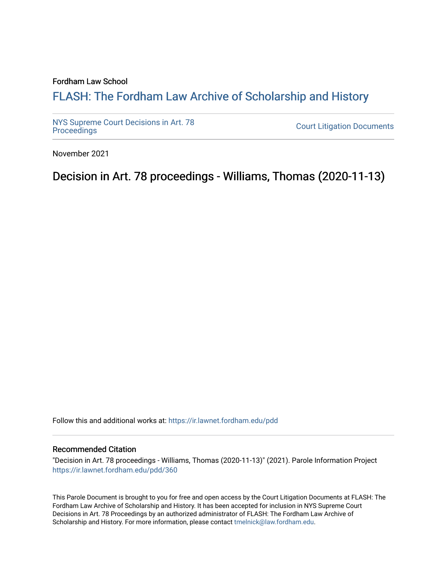#### Fordham Law School

# FLASH: The For[dham Law Archive of Scholarship and Hist](https://ir.lawnet.fordham.edu/)ory

[NYS Supreme Court Decisions in Art. 78](https://ir.lawnet.fordham.edu/pdd)

**Court Litigation Documents** 

November 2021

Decision in Art. 78 proceedings - Williams, Thomas (2020-11-13)

Follow this and additional works at: [https://ir.lawnet.fordham.edu/pdd](https://ir.lawnet.fordham.edu/pdd?utm_source=ir.lawnet.fordham.edu%2Fpdd%2F360&utm_medium=PDF&utm_campaign=PDFCoverPages)

#### Recommended Citation

"Decision in Art. 78 proceedings - Williams, Thomas (2020-11-13)" (2021). Parole Information Project [https://ir.lawnet.fordham.edu/pdd/360](https://ir.lawnet.fordham.edu/pdd/360?utm_source=ir.lawnet.fordham.edu%2Fpdd%2F360&utm_medium=PDF&utm_campaign=PDFCoverPages)

This Parole Document is brought to you for free and open access by the Court Litigation Documents at FLASH: The Fordham Law Archive of Scholarship and History. It has been accepted for inclusion in NYS Supreme Court Decisions in Art. 78 Proceedings by an authorized administrator of FLASH: The Fordham Law Archive of Scholarship and History. For more information, please contact [tmelnick@law.fordham.edu](mailto:tmelnick@law.fordham.edu).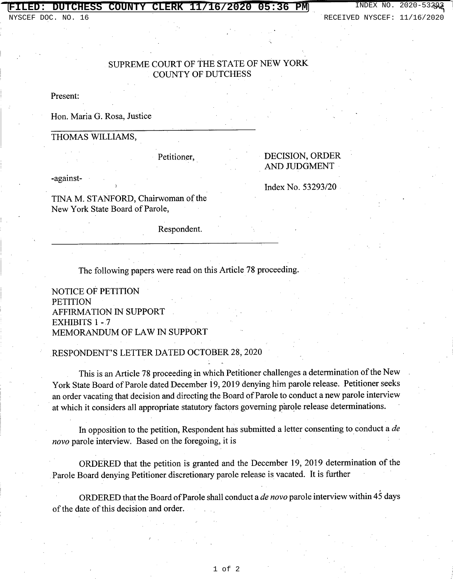### **CHESS COUNTY CLERK 11/16/2020 05:36 PM** INDEX NO

## SUPREME COURT OF THE STATE OF NEW YORK COUNTY OF DUTCHESS

Present:

Hon. Maria G. Rosa, Justice

#### THOMAS WILLIAMS,

Petitioner,

### DECISION, ORDER AND JUDGMENT

Index No. 53293/20

-against-

TINA M. STANFORD, Chairwoman of the New York State Board of Parole,

Respondent.

The following papers were read on this Article 78 proceeding.

NOTICE OF PETITION **PETITION** AFFIRMATION IN SUPPORT EXHIBITS 1 -7 MEMORANDUM OF LAW IN SUPPORT

#### RESPONDENT'S LETTER DATED OCTOBER 28,2020

This is an Article 78 proceeding in which Petitioner challenges a determination of the New York State Board of Parole dated December 19, 2019 denying him parole release. Petitioner seeks . an order vacating that decision and directing the Board of Parole to conduct a new parole interview at which it considers all appropriate statutory factors governing parole release determinations.

In opposition to the petition, Respondent has submitted a letter consenting to conduct a *de novo* parole interview. Based on the foregoing, it is

ORDERED that the petition is granted and the December 19,2019 determination of the Parole Board denying Petitioner discretionary parole release is vacated. It is further

ORDERED that the Board of Parole shall conduct a *de novo* parole interview within 45 days of the date of this decision and order.